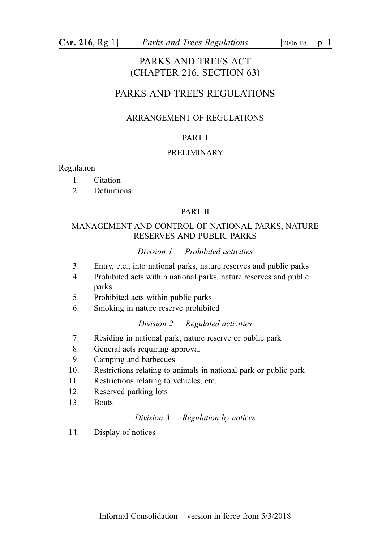# PARKS AND TREES ACT (CHAPTER 216, SECTION 63)

# PARKS AND TREES REGULATIONS

## ARRANGEMENT OF REGULATIONS

## PART I

#### PRELIMINARY

Regulation

- 1. Citation
- 2. Definitions

#### PART II

## MANAGEMENT AND CONTROL OF NATIONAL PARKS, NATURE RESERVES AND PUBLIC PARKS

#### Division  $1$  — Prohibited activities

- 3. Entry, etc., into national parks, nature reserves and public parks
- 4. Prohibited acts within national parks, nature reserves and public parks
- 5. Prohibited acts within public parks
- 6. Smoking in nature reserve prohibited

#### Division  $2$  — Regulated activities

- 7. Residing in national park, nature reserve or public park
- 8. General acts requiring approval
- 9. Camping and barbecues
- 10. Restrictions relating to animals in national park or public park
- 11. Restrictions relating to vehicles, etc.
- 12. Reserved parking lots
- 13. Boats

#### Division  $3$  — Regulation by notices

14. Display of notices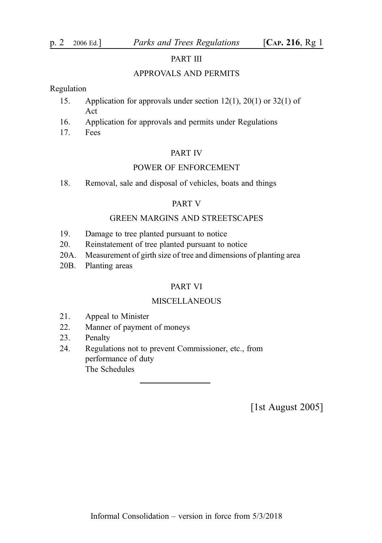#### PART III

#### APPROVALS AND PERMITS

#### Regulation

- 15. Application for approvals under section 12(1), 20(1) or 32(1) of Act
- 16. Application for approvals and permits under Regulations
- 17. Fees

#### PART IV

#### POWER OF ENFORCEMENT

18. Removal, sale and disposal of vehicles, boats and things

#### PART V

#### GREEN MARGINS AND STREETSCAPES

- 19. Damage to tree planted pursuant to notice
- 20. Reinstatement of tree planted pursuant to notice
- 20A. Measurement of girth size of tree and dimensions of planting area
- 20B. Planting areas

#### PART VI

#### MISCELLANEOUS

- 21. Appeal to Minister
- 22. Manner of payment of moneys
- 23. Penalty
- 24. Regulations not to prevent Commissioner, etc., from performance of duty The Schedules

[1st August 2005]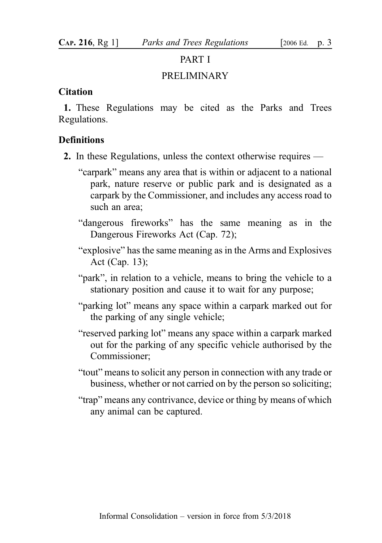## PART I

## PRELIMINARY

## **Citation**

1. These Regulations may be cited as the Parks and Trees Regulations.

## **Definitions**

- 2. In these Regulations, unless the context otherwise requires
	- "carpark" means any area that is within or adjacent to a national park, nature reserve or public park and is designated as a carpark by the Commissioner, and includes any access road to such an area;
	- "dangerous fireworks" has the same meaning as in the Dangerous Fireworks Act (Cap. 72);
	- "explosive" has the same meaning as in the Arms and Explosives Act (Cap. 13);
	- "park", in relation to a vehicle, means to bring the vehicle to a stationary position and cause it to wait for any purpose;
	- "parking lot" means any space within a carpark marked out for the parking of any single vehicle;
	- "reserved parking lot" means any space within a carpark marked out for the parking of any specific vehicle authorised by the Commissioner;
	- "tout" means to solicit any person in connection with any trade or business, whether or not carried on by the person so soliciting;
	- "trap" means any contrivance, device or thing by means of which any animal can be captured.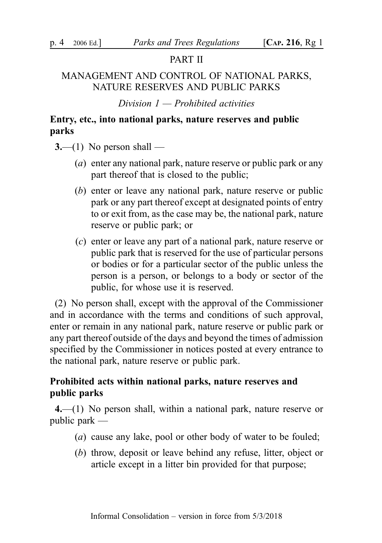# PART II

# MANAGEMENT AND CONTROL OF NATIONAL PARKS, NATURE RESERVES AND PUBLIC PARKS

Division  $1$  — Prohibited activities

# Entry, etc., into national parks, nature reserves and public parks

 $3$ —(1) No person shall —

- (a) enter any national park, nature reserve or public park or any part thereof that is closed to the public;
- (b) enter or leave any national park, nature reserve or public park or any part thereof except at designated points of entry to or exit from, as the case may be, the national park, nature reserve or public park; or
- (c) enter or leave any part of a national park, nature reserve or public park that is reserved for the use of particular persons or bodies or for a particular sector of the public unless the person is a person, or belongs to a body or sector of the public, for whose use it is reserved.

(2) No person shall, except with the approval of the Commissioner and in accordance with the terms and conditions of such approval, enter or remain in any national park, nature reserve or public park or any part thereof outside of the days and beyond the times of admission specified by the Commissioner in notices posted at every entrance to the national park, nature reserve or public park.

# Prohibited acts within national parks, nature reserves and public parks

4.—(1) No person shall, within a national park, nature reserve or public park —

- (a) cause any lake, pool or other body of water to be fouled;
- (b) throw, deposit or leave behind any refuse, litter, object or article except in a litter bin provided for that purpose;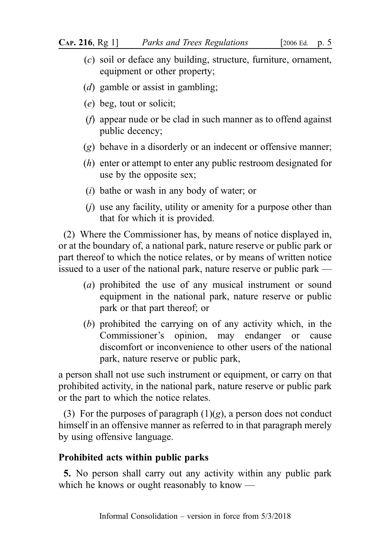- (c) soil or deface any building, structure, furniture, ornament, equipment or other property;
- (*d*) gamble or assist in gambling;
- (e) beg, tout or solicit;
- (f) appear nude or be clad in such manner as to offend against public decency;
- (g) behave in a disorderly or an indecent or offensive manner;
- (h) enter or attempt to enter any public restroom designated for use by the opposite sex;
- (i) bathe or wash in any body of water; or
- (j) use any facility, utility or amenity for a purpose other than that for which it is provided.

(2) Where the Commissioner has, by means of notice displayed in, or at the boundary of, a national park, nature reserve or public park or part thereof to which the notice relates, or by means of written notice issued to a user of the national park, nature reserve or public park —

- (a) prohibited the use of any musical instrument or sound equipment in the national park, nature reserve or public park or that part thereof; or
- (b) prohibited the carrying on of any activity which, in the Commissioner's opinion, may endanger or cause discomfort or inconvenience to other users of the national park, nature reserve or public park,

a person shall not use such instrument or equipment, or carry on that prohibited activity, in the national park, nature reserve or public park or the part to which the notice relates.

(3) For the purposes of paragraph  $(1)(g)$ , a person does not conduct himself in an offensive manner as referred to in that paragraph merely by using offensive language.

# Prohibited acts within public parks

5. No person shall carry out any activity within any public park which he knows or ought reasonably to know —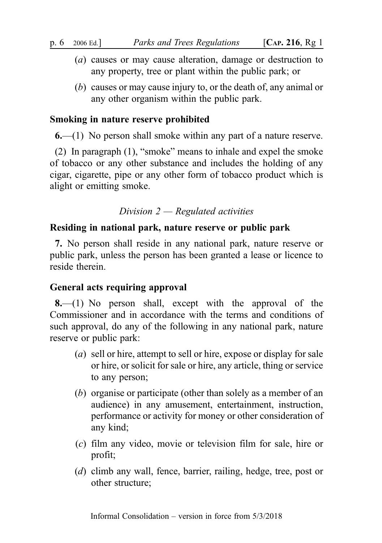- (a) causes or may cause alteration, damage or destruction to any property, tree or plant within the public park; or
- (b) causes or may cause injury to, or the death of, any animal or any other organism within the public park.

## Smoking in nature reserve prohibited

6.—(1) No person shall smoke within any part of a nature reserve.

(2) In paragraph (1), "smoke" means to inhale and expel the smoke of tobacco or any other substance and includes the holding of any cigar, cigarette, pipe or any other form of tobacco product which is alight or emitting smoke.

## Division  $2$  — Regulated activities

## Residing in national park, nature reserve or public park

7. No person shall reside in any national park, nature reserve or public park, unless the person has been granted a lease or licence to reside therein.

## General acts requiring approval

8.—(1) No person shall, except with the approval of the Commissioner and in accordance with the terms and conditions of such approval, do any of the following in any national park, nature reserve or public park:

- (a) sell or hire, attempt to sell or hire, expose or display for sale or hire, or solicit for sale or hire, any article, thing or service to any person;
- (b) organise or participate (other than solely as a member of an audience) in any amusement, entertainment, instruction, performance or activity for money or other consideration of any kind;
- (c) film any video, movie or television film for sale, hire or profit;
- (d) climb any wall, fence, barrier, railing, hedge, tree, post or other structure;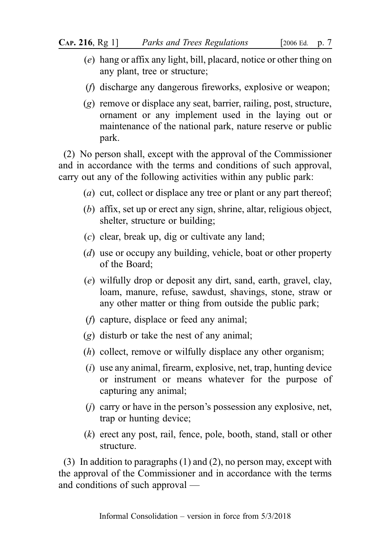- (e) hang or affix any light, bill, placard, notice or other thing on any plant, tree or structure;
- (f) discharge any dangerous fireworks, explosive or weapon;
- (g) remove or displace any seat, barrier, railing, post, structure, ornament or any implement used in the laying out or maintenance of the national park, nature reserve or public park.

(2) No person shall, except with the approval of the Commissioner and in accordance with the terms and conditions of such approval, carry out any of the following activities within any public park:

- (*a*) cut, collect or displace any tree or plant or any part thereof;
- (b) affix, set up or erect any sign, shrine, altar, religious object, shelter, structure or building;
- (c) clear, break up, dig or cultivate any land;
- (d) use or occupy any building, vehicle, boat or other property of the Board;
- (e) wilfully drop or deposit any dirt, sand, earth, gravel, clay, loam, manure, refuse, sawdust, shavings, stone, straw or any other matter or thing from outside the public park;
- (f) capture, displace or feed any animal;
- (g) disturb or take the nest of any animal;
- (h) collect, remove or wilfully displace any other organism;
- (i) use any animal, firearm, explosive, net, trap, hunting device or instrument or means whatever for the purpose of capturing any animal;
- $(i)$  carry or have in the person's possession any explosive, net, trap or hunting device;
- (k) erect any post, rail, fence, pole, booth, stand, stall or other structure.

(3) In addition to paragraphs (1) and (2), no person may, except with the approval of the Commissioner and in accordance with the terms and conditions of such approval —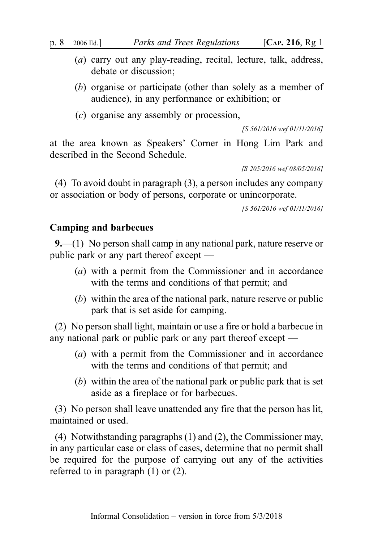- (a) carry out any play-reading, recital, lecture, talk, address, debate or discussion;
- (b) organise or participate (other than solely as a member of audience), in any performance or exhibition; or
- (c) organise any assembly or procession,

[S 561/2016 wef 01/11/2016]

at the area known as Speakers' Corner in Hong Lim Park and described in the Second Schedule.

[S 205/2016 wef 08/05/2016]

(4) To avoid doubt in paragraph (3), a person includes any company or association or body of persons, corporate or unincorporate.

[S 561/2016 wef 01/11/2016]

## Camping and barbecues

9.—(1) No person shall camp in any national park, nature reserve or public park or any part thereof except —

- (a) with a permit from the Commissioner and in accordance with the terms and conditions of that permit; and
- (b) within the area of the national park, nature reserve or public park that is set aside for camping.

(2) No person shall light, maintain or use a fire or hold a barbecue in any national park or public park or any part thereof except —

- (a) with a permit from the Commissioner and in accordance with the terms and conditions of that permit; and
- (b) within the area of the national park or public park that is set aside as a fireplace or for barbecues.

(3) No person shall leave unattended any fire that the person has lit, maintained or used.

(4) Notwithstanding paragraphs (1) and (2), the Commissioner may, in any particular case or class of cases, determine that no permit shall be required for the purpose of carrying out any of the activities referred to in paragraph (1) or (2).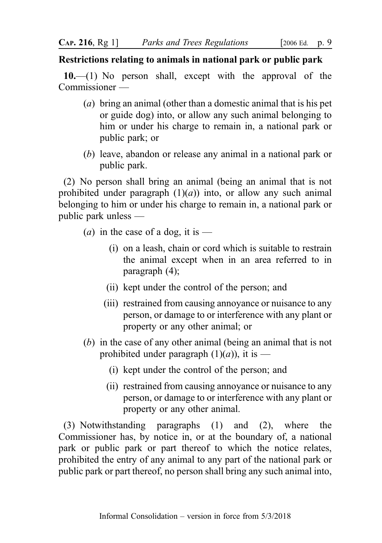# Restrictions relating to animals in national park or public park

10.—(1) No person shall, except with the approval of the Commissioner —

- (a) bring an animal (other than a domestic animal that is his pet or guide dog) into, or allow any such animal belonging to him or under his charge to remain in, a national park or public park; or
- (b) leave, abandon or release any animal in a national park or public park.

(2) No person shall bring an animal (being an animal that is not prohibited under paragraph  $(1)(a)$  into, or allow any such animal belonging to him or under his charge to remain in, a national park or public park unless —

- (*a*) in the case of a dog, it is
	- (i) on a leash, chain or cord which is suitable to restrain the animal except when in an area referred to in paragraph (4);
	- (ii) kept under the control of the person; and
	- (iii) restrained from causing annoyance or nuisance to any person, or damage to or interference with any plant or property or any other animal; or
- (b) in the case of any other animal (being an animal that is not prohibited under paragraph  $(1)(a)$ , it is —
	- (i) kept under the control of the person; and
	- (ii) restrained from causing annoyance or nuisance to any person, or damage to or interference with any plant or property or any other animal.

(3) Notwithstanding paragraphs (1) and (2), where the Commissioner has, by notice in, or at the boundary of, a national park or public park or part thereof to which the notice relates, prohibited the entry of any animal to any part of the national park or public park or part thereof, no person shall bring any such animal into,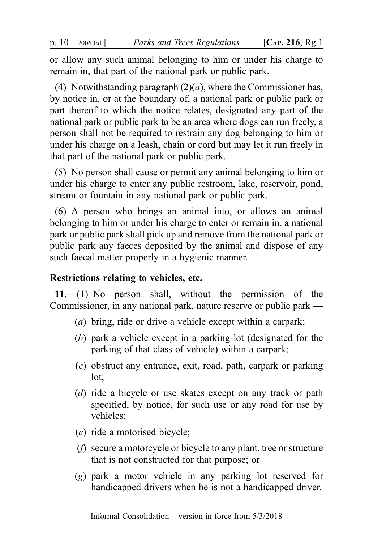or allow any such animal belonging to him or under his charge to remain in, that part of the national park or public park.

(4) Notwithstanding paragraph  $(2)(a)$ , where the Commissioner has, by notice in, or at the boundary of, a national park or public park or part thereof to which the notice relates, designated any part of the national park or public park to be an area where dogs can run freely, a person shall not be required to restrain any dog belonging to him or under his charge on a leash, chain or cord but may let it run freely in that part of the national park or public park.

(5) No person shall cause or permit any animal belonging to him or under his charge to enter any public restroom, lake, reservoir, pond, stream or fountain in any national park or public park.

(6) A person who brings an animal into, or allows an animal belonging to him or under his charge to enter or remain in, a national park or public park shall pick up and remove from the national park or public park any faeces deposited by the animal and dispose of any such faecal matter properly in a hygienic manner.

## Restrictions relating to vehicles, etc.

11.—(1) No person shall, without the permission of the Commissioner, in any national park, nature reserve or public park —

- (a) bring, ride or drive a vehicle except within a carpark;
- (b) park a vehicle except in a parking lot (designated for the parking of that class of vehicle) within a carpark;
- (c) obstruct any entrance, exit, road, path, carpark or parking lot;
- (d) ride a bicycle or use skates except on any track or path specified, by notice, for such use or any road for use by vehicles;
- (e) ride a motorised bicycle;
- (f) secure a motorcycle or bicycle to any plant, tree or structure that is not constructed for that purpose; or
- (g) park a motor vehicle in any parking lot reserved for handicapped drivers when he is not a handicapped driver.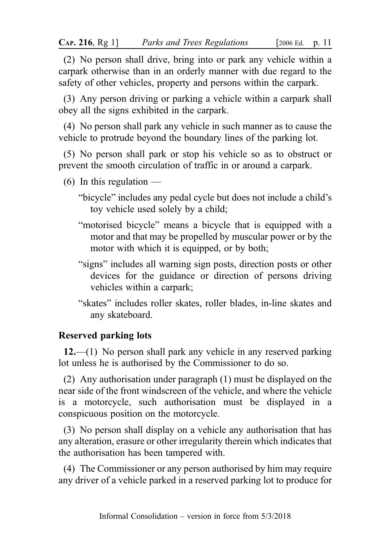(2) No person shall drive, bring into or park any vehicle within a carpark otherwise than in an orderly manner with due regard to the safety of other vehicles, property and persons within the carpark.

(3) Any person driving or parking a vehicle within a carpark shall obey all the signs exhibited in the carpark.

(4) No person shall park any vehicle in such manner as to cause the vehicle to protrude beyond the boundary lines of the parking lot.

(5) No person shall park or stop his vehicle so as to obstruct or prevent the smooth circulation of traffic in or around a carpark.

- $(6)$  In this regulation
	- "bicycle" includes any pedal cycle but does not include a child's toy vehicle used solely by a child;
	- "motorised bicycle" means a bicycle that is equipped with a motor and that may be propelled by muscular power or by the motor with which it is equipped, or by both;
	- "signs" includes all warning sign posts, direction posts or other devices for the guidance or direction of persons driving vehicles within a carpark;
	- "skates" includes roller skates, roller blades, in-line skates and any skateboard.

# Reserved parking lots

12.—(1) No person shall park any vehicle in any reserved parking lot unless he is authorised by the Commissioner to do so.

(2) Any authorisation under paragraph (1) must be displayed on the near side of the front windscreen of the vehicle, and where the vehicle is a motorcycle, such authorisation must be displayed in a conspicuous position on the motorcycle.

(3) No person shall display on a vehicle any authorisation that has any alteration, erasure or other irregularity therein which indicates that the authorisation has been tampered with.

(4) The Commissioner or any person authorised by him may require any driver of a vehicle parked in a reserved parking lot to produce for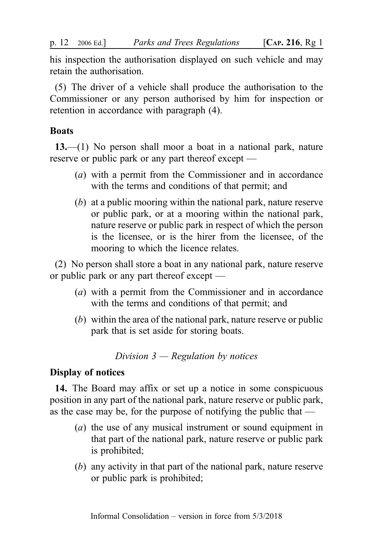his inspection the authorisation displayed on such vehicle and may retain the authorisation.

(5) The driver of a vehicle shall produce the authorisation to the Commissioner or any person authorised by him for inspection or retention in accordance with paragraph (4).

# **Boats**

13.—(1) No person shall moor a boat in a national park, nature reserve or public park or any part thereof except —

- (a) with a permit from the Commissioner and in accordance with the terms and conditions of that permit; and
- (b) at a public mooring within the national park, nature reserve or public park, or at a mooring within the national park, nature reserve or public park in respect of which the person is the licensee, or is the hirer from the licensee, of the mooring to which the licence relates.

(2) No person shall store a boat in any national park, nature reserve or public park or any part thereof except —

- (a) with a permit from the Commissioner and in accordance with the terms and conditions of that permit; and
- (b) within the area of the national park, nature reserve or public park that is set aside for storing boats.

Division  $3$  — Regulation by notices

# Display of notices

14. The Board may affix or set up a notice in some conspicuous position in any part of the national park, nature reserve or public park, as the case may be, for the purpose of notifying the public that —

- (a) the use of any musical instrument or sound equipment in that part of the national park, nature reserve or public park is prohibited;
- (b) any activity in that part of the national park, nature reserve or public park is prohibited;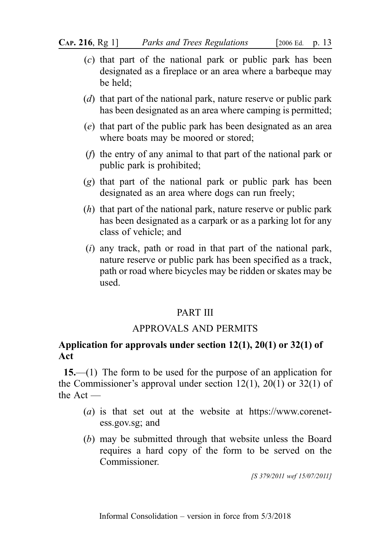**CAP. 216, Rg 1]** *Parks and Trees Regulations* [2006 Ed. p. 13]

- (c) that part of the national park or public park has been designated as a fireplace or an area where a barbeque may be held;
- (d) that part of the national park, nature reserve or public park has been designated as an area where camping is permitted;
- (e) that part of the public park has been designated as an area where boats may be moored or stored;
- (f) the entry of any animal to that part of the national park or public park is prohibited;
- (g) that part of the national park or public park has been designated as an area where dogs can run freely;
- $(h)$  that part of the national park, nature reserve or public park has been designated as a carpark or as a parking lot for any class of vehicle; and
- $(i)$  any track, path or road in that part of the national park, nature reserve or public park has been specified as a track, path or road where bicycles may be ridden or skates may be used.

## PART III

# APPROVALS AND PERMITS

# Application for approvals under section 12(1), 20(1) or 32(1) of Act

15.—(1) The form to be used for the purpose of an application for the Commissioner's approval under section 12(1), 20(1) or 32(1) of the Act —

- (*a*) is that set out at the website at https://www.corenetess.gov.sg; and
- (b) may be submitted through that website unless the Board requires a hard copy of the form to be served on the Commissioner.

[S 379/2011 wef 15/07/2011]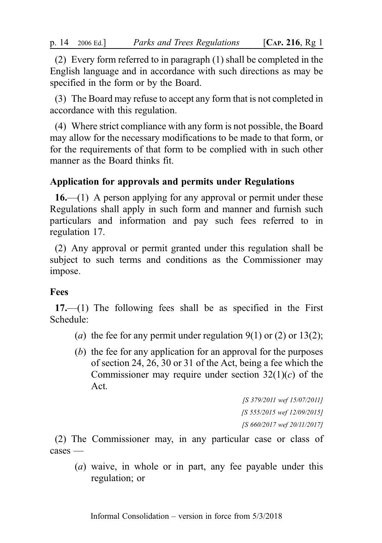(2) Every form referred to in paragraph (1) shall be completed in the English language and in accordance with such directions as may be specified in the form or by the Board.

(3) The Board may refuse to accept any form that is not completed in accordance with this regulation.

(4) Where strict compliance with any form is not possible, the Board may allow for the necessary modifications to be made to that form, or for the requirements of that form to be complied with in such other manner as the Board thinks fit.

# Application for approvals and permits under Regulations

 $16$ —(1) A person applying for any approval or permit under these Regulations shall apply in such form and manner and furnish such particulars and information and pay such fees referred to in regulation 17.

(2) Any approval or permit granted under this regulation shall be subject to such terms and conditions as the Commissioner may impose.

## Fees

17.—(1) The following fees shall be as specified in the First Schedule:

- (a) the fee for any permit under regulation  $9(1)$  or  $(2)$  or  $13(2)$ ;
- (b) the fee for any application for an approval for the purposes of section 24, 26, 30 or 31 of the Act, being a fee which the Commissioner may require under section  $32(1)(c)$  of the Act.

[S 379/2011 wef 15/07/2011] [S 555/2015 wef 12/09/2015] [S 660/2017 wef 20/11/2017]

(2) The Commissioner may, in any particular case or class of cases —

(a) waive, in whole or in part, any fee payable under this regulation; or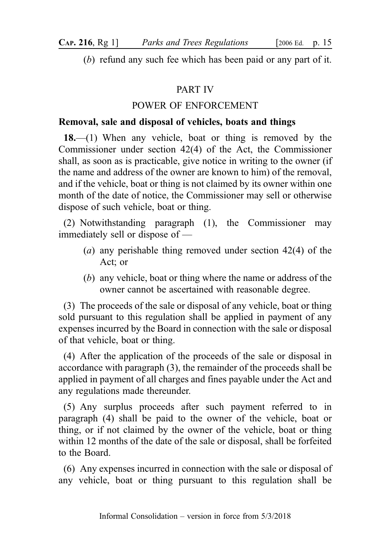(b) refund any such fee which has been paid or any part of it.

# PART IV

# POWER OF ENFORCEMENT

# Removal, sale and disposal of vehicles, boats and things

18.—(1) When any vehicle, boat or thing is removed by the Commissioner under section 42(4) of the Act, the Commissioner shall, as soon as is practicable, give notice in writing to the owner (if the name and address of the owner are known to him) of the removal, and if the vehicle, boat or thing is not claimed by its owner within one month of the date of notice, the Commissioner may sell or otherwise dispose of such vehicle, boat or thing.

(2) Notwithstanding paragraph (1), the Commissioner may immediately sell or dispose of —

- (a) any perishable thing removed under section 42(4) of the Act; or
- (b) any vehicle, boat or thing where the name or address of the owner cannot be ascertained with reasonable degree.

(3) The proceeds of the sale or disposal of any vehicle, boat or thing sold pursuant to this regulation shall be applied in payment of any expenses incurred by the Board in connection with the sale or disposal of that vehicle, boat or thing.

(4) After the application of the proceeds of the sale or disposal in accordance with paragraph (3), the remainder of the proceeds shall be applied in payment of all charges and fines payable under the Act and any regulations made thereunder.

(5) Any surplus proceeds after such payment referred to in paragraph (4) shall be paid to the owner of the vehicle, boat or thing, or if not claimed by the owner of the vehicle, boat or thing within 12 months of the date of the sale or disposal, shall be forfeited to the Board.

(6) Any expenses incurred in connection with the sale or disposal of any vehicle, boat or thing pursuant to this regulation shall be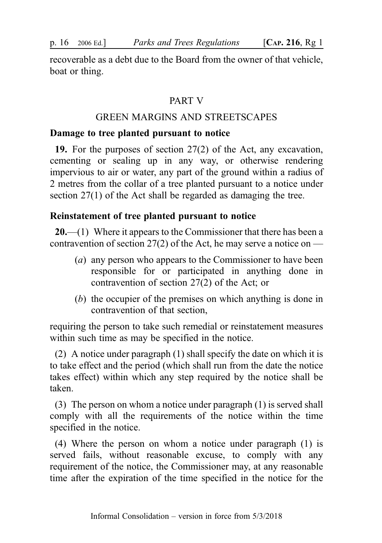recoverable as a debt due to the Board from the owner of that vehicle, boat or thing.

## PART V

# GREEN MARGINS AND STREETSCAPES

#### Damage to tree planted pursuant to notice

19. For the purposes of section 27(2) of the Act, any excavation, cementing or sealing up in any way, or otherwise rendering impervious to air or water, any part of the ground within a radius of 2 metres from the collar of a tree planted pursuant to a notice under section 27(1) of the Act shall be regarded as damaging the tree.

## Reinstatement of tree planted pursuant to notice

**20.**—(1) Where it appears to the Commissioner that there has been a contravention of section 27(2) of the Act, he may serve a notice on —

- (a) any person who appears to the Commissioner to have been responsible for or participated in anything done in contravention of section 27(2) of the Act; or
- (b) the occupier of the premises on which anything is done in contravention of that section,

requiring the person to take such remedial or reinstatement measures within such time as may be specified in the notice.

(2) A notice under paragraph (1) shall specify the date on which it is to take effect and the period (which shall run from the date the notice takes effect) within which any step required by the notice shall be taken.

(3) The person on whom a notice under paragraph (1) is served shall comply with all the requirements of the notice within the time specified in the notice.

(4) Where the person on whom a notice under paragraph (1) is served fails, without reasonable excuse, to comply with any requirement of the notice, the Commissioner may, at any reasonable time after the expiration of the time specified in the notice for the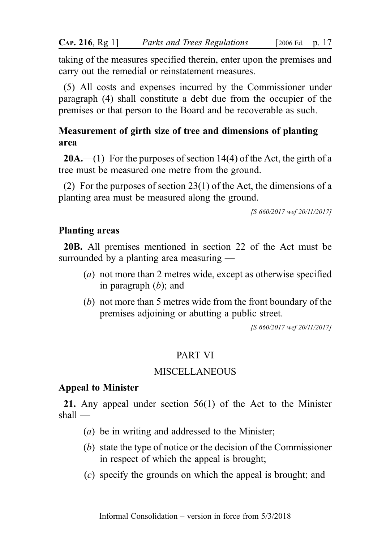taking of the measures specified therein, enter upon the premises and carry out the remedial or reinstatement measures.

(5) All costs and expenses incurred by the Commissioner under paragraph (4) shall constitute a debt due from the occupier of the premises or that person to the Board and be recoverable as such.

# Measurement of girth size of tree and dimensions of planting area

**20A.**—(1) For the purposes of section 14(4) of the Act, the girth of a tree must be measured one metre from the ground.

(2) For the purposes of section 23(1) of the Act, the dimensions of a planting area must be measured along the ground.

[S 660/2017 wef 20/11/2017]

## Planting areas

20B. All premises mentioned in section 22 of the Act must be surrounded by a planting area measuring —

- (a) not more than 2 metres wide, except as otherwise specified in paragraph  $(b)$ ; and
- (b) not more than 5 metres wide from the front boundary of the premises adjoining or abutting a public street.

[S 660/2017 wef 20/11/2017]

# PART VI

# MISCELLANEOUS

## Appeal to Minister

21. Any appeal under section 56(1) of the Act to the Minister shall —

- (a) be in writing and addressed to the Minister;
- (b) state the type of notice or the decision of the Commissioner in respect of which the appeal is brought;
- (c) specify the grounds on which the appeal is brought; and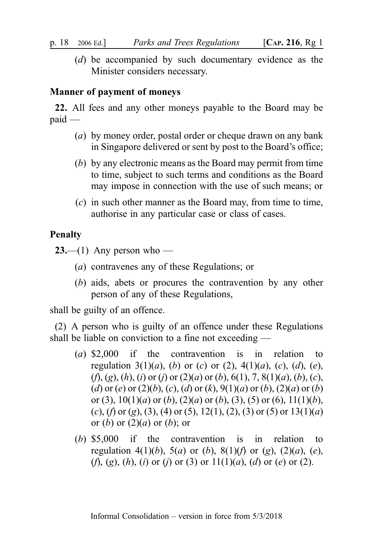(d) be accompanied by such documentary evidence as the Minister considers necessary.

#### Manner of payment of moneys

22. All fees and any other moneys payable to the Board may be paid —

- (a) by money order, postal order or cheque drawn on any bank in Singapore delivered or sent by post to the Board's office;
- (b) by any electronic means as the Board may permit from time to time, subject to such terms and conditions as the Board may impose in connection with the use of such means; or
- (c) in such other manner as the Board may, from time to time, authorise in any particular case or class of cases.

## Penalty

**23.**—(1) Any person who —

- (a) contravenes any of these Regulations; or
- (b) aids, abets or procures the contravention by any other person of any of these Regulations,

shall be guilty of an offence.

(2) A person who is guilty of an offence under these Regulations shall be liable on conviction to a fine not exceeding —

- (a) \$2,000 if the contravention is in relation to regulation 3(1)(a), (b) or (c) or (2), 4(1)(a), (c), (d), (e),  $(f, (g), (h), (i)$  or  $(i)$  or  $(2)(a)$  or  $(b), 6(1), 7, 8(1)(a), (b), (c),$ (d) or (e) or (2)(b), (c), (d) or (k), 9(1)(a) or (b), (2)(a) or (b) or (3),  $10(1)(a)$  or (b), (2)(a) or (b), (3), (5) or (6),  $11(1)(b)$ , (c), (f) or (g), (3), (4) or (5), 12(1), (2), (3) or (5) or 13(1)(a) or  $(b)$  or  $(2)(a)$  or  $(b)$ ; or
- (b) \$5,000 if the contravention is in relation to regulation 4(1)(b), 5(a) or (b), 8(1)(f) or (g), (2)(a), (e), (f), (g), (h), (i) or (j) or (3) or  $11(1)(a)$ , (d) or (e) or (2).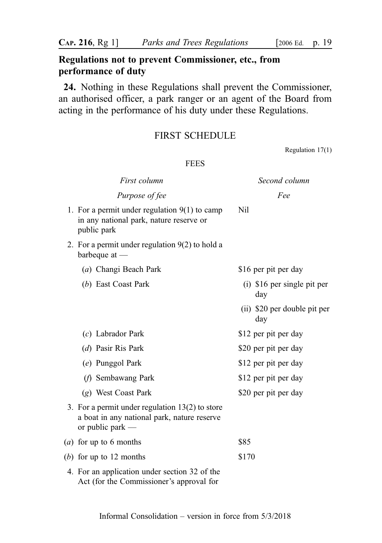# Regulations not to prevent Commissioner, etc., from performance of duty

24. Nothing in these Regulations shall prevent the Commissioner, an authorised officer, a park ranger or an agent of the Board from acting in the performance of his duty under these Regulations.

## FIRST SCHEDULE

Regulation 17(1)

#### FEES

| First column                                                                                                           | Second column                        |
|------------------------------------------------------------------------------------------------------------------------|--------------------------------------|
| Purpose of fee                                                                                                         | Fee                                  |
| 1. For a permit under regulation $9(1)$ to camp<br>in any national park, nature reserve or<br>public park              | Nil                                  |
| 2. For a permit under regulation $9(2)$ to hold a<br>barbeque at $-$                                                   |                                      |
| (a) Changi Beach Park                                                                                                  | \$16 per pit per day                 |
| (b) East Coast Park                                                                                                    | $(i)$ \$16 per single pit per<br>day |
|                                                                                                                        | (ii) \$20 per double pit per<br>day  |
| $(c)$ Labrador Park                                                                                                    | \$12 per pit per day                 |
| (d) Pasir Ris Park                                                                                                     | \$20 per pit per day                 |
| (e) Punggol Park                                                                                                       | \$12 per pit per day                 |
| ( <i>f</i> ) Sembawang Park                                                                                            | \$12 per pit per day                 |
| (g) West Coast Park                                                                                                    | \$20 per pit per day                 |
| 3. For a permit under regulation $13(2)$ to store<br>a boat in any national park, nature reserve<br>or public park $-$ |                                      |
| (a) for up to 6 months                                                                                                 | \$85                                 |
| (b) for up to 12 months                                                                                                | \$170                                |
| 4. For an application under section 32 of the<br>Act (for the Commissioner's approval for                              |                                      |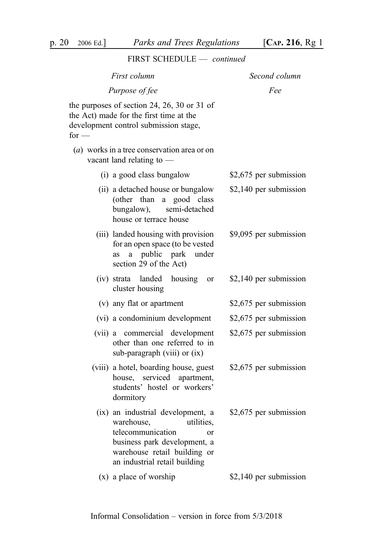|         | i iivat aciippoed                                                                                                                                                                                    |                        |
|---------|------------------------------------------------------------------------------------------------------------------------------------------------------------------------------------------------------|------------------------|
|         | First column                                                                                                                                                                                         | Second column          |
|         | Purpose of fee                                                                                                                                                                                       | Fee                    |
| for $-$ | the purposes of section 24, 26, 30 or 31 of<br>the Act) made for the first time at the<br>development control submission stage,                                                                      |                        |
|         | $(a)$ works in a tree conservation area or on<br>vacant land relating to $-$                                                                                                                         |                        |
|         | (i) a good class bungalow                                                                                                                                                                            | \$2,675 per submission |
|         | (ii) a detached house or bungalow<br>(other than a good class<br>bungalow), semi-detached<br>house or terrace house                                                                                  | \$2,140 per submission |
|         | (iii) landed housing with provision<br>for an open space (to be vested<br>public park under<br>a<br>as<br>section 29 of the Act)                                                                     | \$9,095 per submission |
|         | (iv) strata landed<br>housing<br><sub>or</sub><br>cluster housing                                                                                                                                    | \$2,140 per submission |
|         | (v) any flat or apartment                                                                                                                                                                            | \$2,675 per submission |
|         | (vi) a condominium development                                                                                                                                                                       | \$2,675 per submission |
|         | (vii) a commercial development<br>other than one referred to in<br>sub-paragraph (viii) or (ix)                                                                                                      | \$2,675 per submission |
|         | (viii) a hotel, boarding house, guest<br>house, serviced apartment,<br>students' hostel or workers'<br>dormitory                                                                                     | \$2,675 per submission |
|         | (ix) an industrial development, a<br>warehouse,<br>utilities,<br>telecommunication<br><sub>or</sub><br>business park development, a<br>warehouse retail building or<br>an industrial retail building | \$2,675 per submission |
|         | $(x)$ a place of worship                                                                                                                                                                             | \$2,140 per submission |

# FIRST SCHEDULE — continued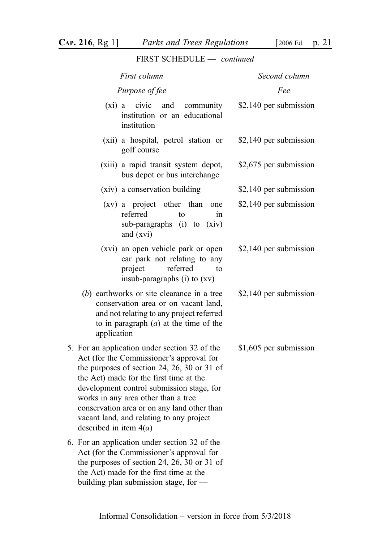FIRST SCHEDULE — continued

| First column                                                                                                                                                                                                                                                                                                                                                                                   | Second column          |
|------------------------------------------------------------------------------------------------------------------------------------------------------------------------------------------------------------------------------------------------------------------------------------------------------------------------------------------------------------------------------------------------|------------------------|
| Purpose of fee                                                                                                                                                                                                                                                                                                                                                                                 | Fee                    |
| civic<br>$(xi)$ a<br>and<br>community<br>institution or an educational<br>institution                                                                                                                                                                                                                                                                                                          | \$2,140 per submission |
| (xii) a hospital, petrol station or<br>golf course                                                                                                                                                                                                                                                                                                                                             | \$2,140 per submission |
| (xiii) a rapid transit system depot,<br>bus depot or bus interchange                                                                                                                                                                                                                                                                                                                           | \$2,675 per submission |
| (xiv) a conservation building                                                                                                                                                                                                                                                                                                                                                                  | \$2,140 per submission |
| (xv) a project other than<br>one<br>referred<br>to<br>1n<br>sub-paragraphs (i) to<br>(xiv)<br>and (xvi)                                                                                                                                                                                                                                                                                        | \$2,140 per submission |
| (xvi) an open vehicle park or open<br>car park not relating to any<br>referred<br>project<br>to<br>insub-paragraphs (i) to (xv)                                                                                                                                                                                                                                                                | \$2,140 per submission |
| $(b)$ earthworks or site clearance in a tree<br>conservation area or on vacant land,<br>and not relating to any project referred<br>to in paragraph $(a)$ at the time of the<br>application                                                                                                                                                                                                    | \$2,140 per submission |
| 5. For an application under section 32 of the<br>Act (for the Commissioner's approval for<br>the purposes of section 24, 26, 30 or 31 of<br>the Act) made for the first time at the<br>development control submission stage, for<br>works in any area other than a tree<br>conservation area or on any land other than<br>vacant land, and relating to any project<br>described in item $4(a)$ | \$1,605 per submission |
| 6. For an application under section 32 of the<br>Act (for the Commissioner's approval for<br>the purposes of section 24, 26, 30 or 31 of<br>the Act) made for the first time at the<br>building plan submission stage, for $-$                                                                                                                                                                 |                        |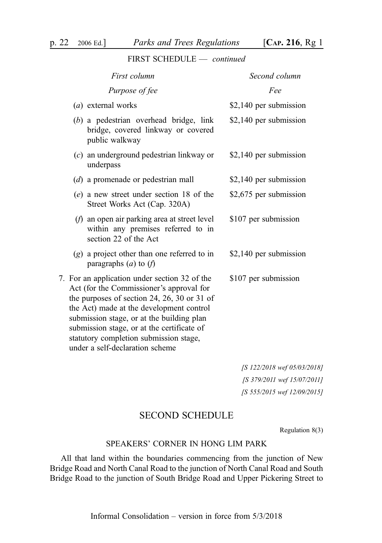| First column                                                                                                                                                                                                                                                                                                                                                 | Second column          |
|--------------------------------------------------------------------------------------------------------------------------------------------------------------------------------------------------------------------------------------------------------------------------------------------------------------------------------------------------------------|------------------------|
| Purpose of fee                                                                                                                                                                                                                                                                                                                                               | Fee                    |
| (a) external works                                                                                                                                                                                                                                                                                                                                           | \$2,140 per submission |
| $(b)$ a pedestrian overhead bridge, link<br>bridge, covered linkway or covered<br>public walkway                                                                                                                                                                                                                                                             | \$2,140 per submission |
| $(c)$ an underground pedestrian linkway or<br>underpass                                                                                                                                                                                                                                                                                                      | \$2,140 per submission |
| $(d)$ a promenade or pedestrian mall                                                                                                                                                                                                                                                                                                                         | \$2,140 per submission |
| (e) a new street under section 18 of the<br>Street Works Act (Cap. 320A)                                                                                                                                                                                                                                                                                     | \$2,675 per submission |
| $(f)$ an open air parking area at street level<br>within any premises referred to in<br>section 22 of the Act                                                                                                                                                                                                                                                | \$107 per submission   |
| $(g)$ a project other than one referred to in<br>paragraphs $(a)$ to $(f)$                                                                                                                                                                                                                                                                                   | \$2,140 per submission |
| 7. For an application under section 32 of the<br>Act (for the Commissioner's approval for<br>the purposes of section 24, 26, 30 or 31 of<br>the Act) made at the development control<br>submission stage, or at the building plan<br>submission stage, or at the certificate of<br>statutory completion submission stage,<br>under a self-declaration scheme | \$107 per submission   |

[S 122/2018 wef 05/03/2018] [S 379/2011 wef 15/07/2011] [S 555/2015 wef 12/09/2015]

# SECOND SCHEDULE

Regulation 8(3)

#### SPEAKERS' CORNER IN HONG LIM PARK

All that land within the boundaries commencing from the junction of New Bridge Road and North Canal Road to the junction of North Canal Road and South Bridge Road to the junction of South Bridge Road and Upper Pickering Street to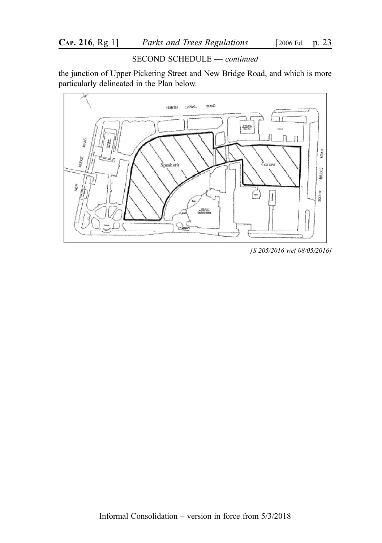#### SECOND SCHEDULE — continued

the junction of Upper Pickering Street and New Bridge Road, and which is more particularly delineated in the Plan below.



[S 205/2016 wef 08/05/2016]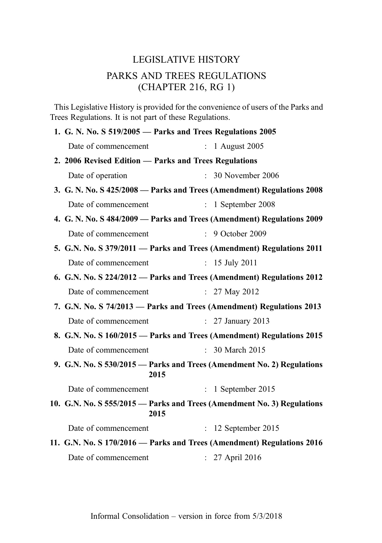# LEGISLATIVE HISTORY PARKS AND TREES REGULATIONS (CHAPTER 216, RG 1)

This Legislative History is provided for the convenience of users of the Parks and Trees Regulations. It is not part of these Regulations.

| 1. G. N. No. S 519/2005 - Parks and Trees Regulations 2005 |      |                                                                         |
|------------------------------------------------------------|------|-------------------------------------------------------------------------|
| Date of commencement                                       |      | $: 1$ August 2005                                                       |
| 2. 2006 Revised Edition - Parks and Trees Regulations      |      |                                                                         |
| Date of operation                                          |      | : 30 November 2006                                                      |
|                                                            |      | 3. G. N. No. S 425/2008 - Parks and Trees (Amendment) Regulations 2008  |
| Date of commencement                                       |      | $\therefore$ 1 September 2008                                           |
|                                                            |      | 4. G. N. No. S 484/2009 - Parks and Trees (Amendment) Regulations 2009  |
| Date of commencement                                       |      | : 9 October 2009                                                        |
|                                                            |      | 5. G.N. No. S 379/2011 - Parks and Trees (Amendment) Regulations 2011   |
| Date of commencement                                       |      | : $15$ July 2011                                                        |
|                                                            |      | 6. G.N. No. S 224/2012 - Parks and Trees (Amendment) Regulations 2012   |
| Date of commencement                                       |      | : $27$ May $2012$                                                       |
|                                                            |      | 7. G.N. No. S 74/2013 - Parks and Trees (Amendment) Regulations 2013    |
| Date of commencement                                       |      | $: 27$ January 2013                                                     |
|                                                            |      | 8. G.N. No. S 160/2015 - Parks and Trees (Amendment) Regulations 2015   |
| Date of commencement                                       |      | : 30 March 2015                                                         |
|                                                            | 2015 | 9. G.N. No. S 530/2015 - Parks and Trees (Amendment No. 2) Regulations  |
| Date of commencement                                       |      | $: 1$ September 2015                                                    |
|                                                            | 2015 | 10. G.N. No. S 555/2015 - Parks and Trees (Amendment No. 3) Regulations |
| Date of commencement                                       |      | $: 12$ September 2015                                                   |
|                                                            |      | 11. G.N. No. S 170/2016 - Parks and Trees (Amendment) Regulations 2016  |
| Date of commencement                                       |      | : 27 April 2016                                                         |